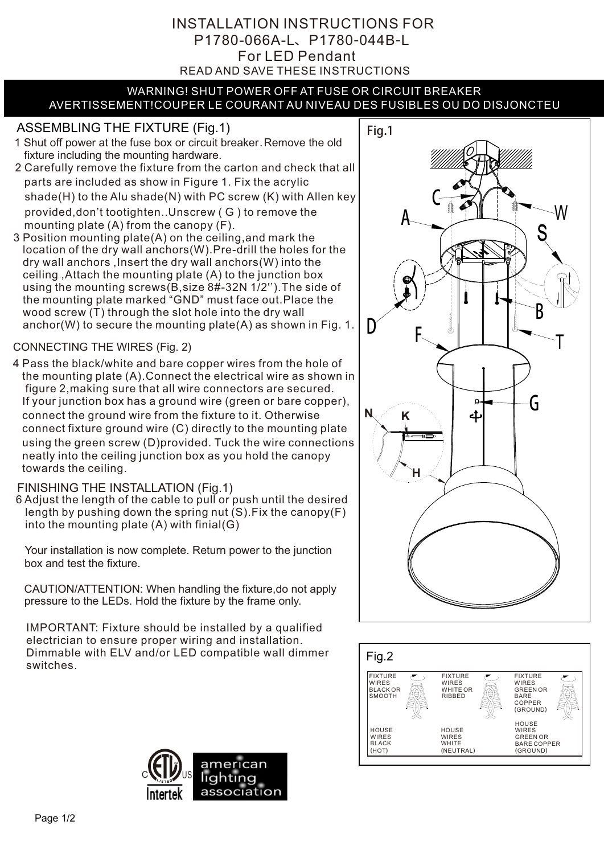## READ AND SAVE THESE INSTRUCTIONS For LED Pendant INSTALLATION INSTRUCTIONS FOR P1780-066A-L、P1780-044B-L

#### WARNING! SHUT POWER OFF AT FUSE OR CIRCUIT BREAKER AVERTISSEMENT!COUPER LE COURANT AU NIVEAU DES FUSIBLES OU DO DISJONCTEU

# ASSEMBLING THE FIXTURE (Fig.1) | Fig.1

- 1 Shut off power at the fuse box or circuit breaker.Remove the old fixture including the mounting hardware.
- 2 Carefully remove the fixture from the carton and check that all parts are included as show in Figure 1. Fix the acrylic shade(H) to the Alu shade(N) with PC screw (K) with Allen key provided,don't tootighten..Unscrew ( G ) to remove the mounting plate (A) from the canopy (F).
- 3 Position mounting plate(A) on the ceiling,and mark the location of the dry wall anchors(W).Pre-drill the holes for the dry wall anchors ,Insert the dry wall anchors(W) into the ceiling ,Attach the mounting plate (A) to the junction box using the mounting screws(B,size 8#-32N 1/2'').The side of the mounting plate marked "GND" must face out.Place the wood screw (T) through the slot hole into the dry wall anchor(W) to secure the mounting plate(A) as shown in Fig. 1.

### CONNECTING THE WIRES (Fig. 2)

4 Pass the black/white and bare copper wires from the hole of the mounting plate (A).Connect the electrical wire as shown in figure 2,making sure that all wire connectors are secured. If your junction box has a ground wire (green or bare copper), connect the ground wire from the fixture to it. Otherwise connect fixture ground wire (C) directly to the mounting plate using the green screw (D)provided. Tuck the wire connections neatly into the ceiling junction box as you hold the canopy towards the ceiling.

### FINISHING THE INSTALLATION (Fig.1)

6 Adjust the length of the cable to pull or push until the desired length by pushing down the spring nut (S).Fix the canopy(F) into the mounting plate  $(A)$  with finial $(G)$ 

Your installation is now complete. Return power to the junction box and test the fixture.

CAUTION/ATTENTION: When handling the fixture,do not apply pressure to the LEDs. Hold the fixture by the frame only.

IMPORTANT: Fixture should be installed by a qualified electrician to ensure proper wiring and installation. Dimmable with ELV and/or LED compatible wall dimmer switches.